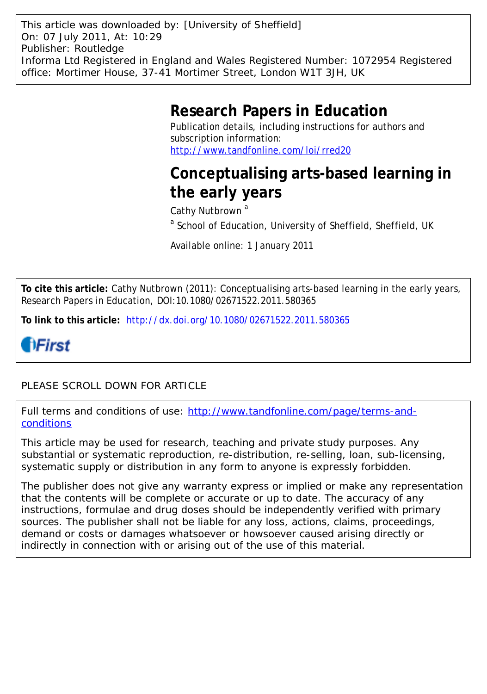This article was downloaded by: [University of Sheffield] On: 07 July 2011, At: 10:29 Publisher: Routledge Informa Ltd Registered in England and Wales Registered Number: 1072954 Registered office: Mortimer House, 37-41 Mortimer Street, London W1T 3JH, UK

# **Research Papers in Education**

Publication details, including instructions for authors and subscription information: <http://www.tandfonline.com/loi/rred20>

# **Conceptualising arts-based learning in the early years**

Cathy Nutbrown<sup>a</sup>

<sup>a</sup> School of Education, University of Sheffield, Sheffield, UK

Available online: 1 January 2011

**To cite this article:** Cathy Nutbrown (2011): Conceptualising arts-based learning in the early years, Research Papers in Education, DOI:10.1080/02671522.2011.580365

**To link to this article:** <http://dx.doi.org/10.1080/02671522.2011.580365>



PLEASE SCROLL DOWN FOR ARTICLE

Full terms and conditions of use: [http://www.tandfonline.com/page/terms-and](http://www.tandfonline.com/page/terms-and-conditions)[conditions](http://www.tandfonline.com/page/terms-and-conditions)

This article may be used for research, teaching and private study purposes. Any substantial or systematic reproduction, re-distribution, re-selling, loan, sub-licensing, systematic supply or distribution in any form to anyone is expressly forbidden.

The publisher does not give any warranty express or implied or make any representation that the contents will be complete or accurate or up to date. The accuracy of any instructions, formulae and drug doses should be independently verified with primary sources. The publisher shall not be liable for any loss, actions, claims, proceedings, demand or costs or damages whatsoever or howsoever caused arising directly or indirectly in connection with or arising out of the use of this material.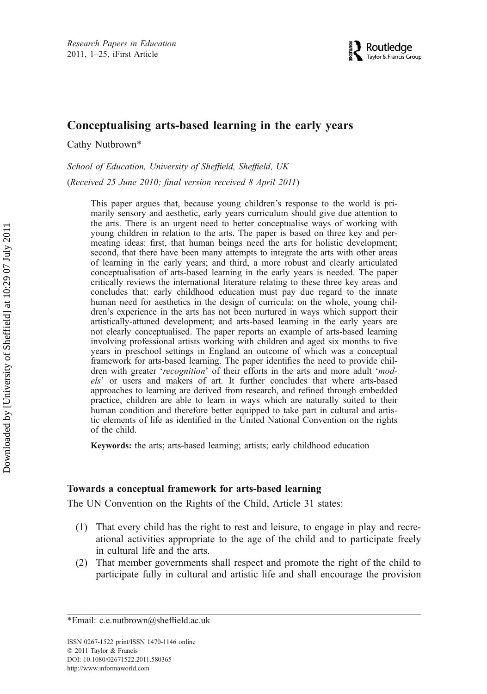# Conceptualising arts-based learning in the early years

Cathy Nutbrown\*

School of Education, University of Sheffield, Sheffield, UK

(Received 25 June 2010; final version received 8 April 2011)

This paper argues that, because young children's response to the world is primarily sensory and aesthetic, early years curriculum should give due attention to the arts. There is an urgent need to better conceptualise ways of working with young children in relation to the arts. The paper is based on three key and permeating ideas: first, that human beings need the arts for holistic development; second, that there have been many attempts to integrate the arts with other areas of learning in the early years; and third, a more robust and clearly articulated conceptualisation of arts-based learning in the early years is needed. The paper critically reviews the international literature relating to these three key areas and concludes that: early childhood education must pay due regard to the innate human need for aesthetics in the design of curricula; on the whole, young children's experience in the arts has not been nurtured in ways which support their artistically-attuned development; and arts-based learning in the early years are not clearly conceptualised. The paper reports an example of arts-based learning involving professional artists working with children and aged six months to five years in preschool settings in England an outcome of which was a conceptual framework for arts-based learning. The paper identifies the need to provide children with greater 'recognition' of their efforts in the arts and more adult 'models' or users and makers of art. It further concludes that where arts-based approaches to learning are derived from research, and refined through embedded practice, children are able to learn in ways which are naturally suited to their human condition and therefore better equipped to take part in cultural and artistic elements of life as identified in the United National Convention on the rights of the child.

Keywords: the arts; arts-based learning; artists; early childhood education

# Towards a conceptual framework for arts-based learning

The UN Convention on the Rights of the Child, Article 31 states:

- (1) That every child has the right to rest and leisure, to engage in play and recreational activities appropriate to the age of the child and to participate freely in cultural life and the arts.
- (2) That member governments shall respect and promote the right of the child to participate fully in cultural and artistic life and shall encourage the provision

<sup>\*</sup>Email: c.e.nutbrown@sheffield.ac.uk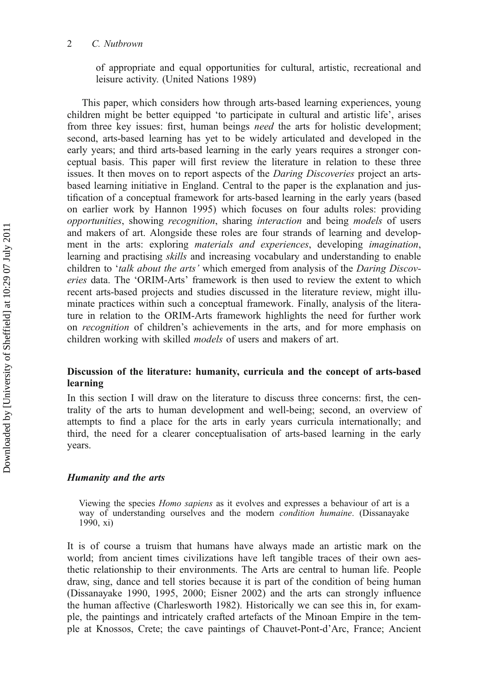#### 2 C. Nutbrown

of appropriate and equal opportunities for cultural, artistic, recreational and leisure activity. (United Nations 1989)

This paper, which considers how through arts-based learning experiences, young children might be better equipped 'to participate in cultural and artistic life', arises from three key issues: first, human beings *need* the arts for holistic development; second, arts-based learning has yet to be widely articulated and developed in the early years; and third arts-based learning in the early years requires a stronger conceptual basis. This paper will first review the literature in relation to these three issues. It then moves on to report aspects of the *Daring Discoveries* project an artsbased learning initiative in England. Central to the paper is the explanation and justification of a conceptual framework for arts-based learning in the early years (based on earlier work by Hannon 1995) which focuses on four adults roles: providing opportunities, showing recognition, sharing interaction and being models of users and makers of art. Alongside these roles are four strands of learning and development in the arts: exploring *materials and experiences*, developing *imagination*, learning and practising skills and increasing vocabulary and understanding to enable children to *'talk about the arts'* which emerged from analysis of the *Daring Discov*eries data. The 'ORIM-Arts' framework is then used to review the extent to which recent arts-based projects and studies discussed in the literature review, might illuminate practices within such a conceptual framework. Finally, analysis of the literature in relation to the ORIM-Arts framework highlights the need for further work on recognition of children's achievements in the arts, and for more emphasis on children working with skilled models of users and makers of art.

# Discussion of the literature: humanity, curricula and the concept of arts-based learning

In this section I will draw on the literature to discuss three concerns: first, the centrality of the arts to human development and well-being; second, an overview of attempts to find a place for the arts in early years curricula internationally; and third, the need for a clearer conceptualisation of arts-based learning in the early years.

# Humanity and the arts

Viewing the species Homo sapiens as it evolves and expresses a behaviour of art is a way of understanding ourselves and the modern *condition humaine*. (Dissanayake 1990, xi)

It is of course a truism that humans have always made an artistic mark on the world; from ancient times civilizations have left tangible traces of their own aesthetic relationship to their environments. The Arts are central to human life. People draw, sing, dance and tell stories because it is part of the condition of being human (Dissanayake 1990, 1995, 2000; Eisner 2002) and the arts can strongly influence the human affective (Charlesworth 1982). Historically we can see this in, for example, the paintings and intricately crafted artefacts of the Minoan Empire in the temple at Knossos, Crete; the cave paintings of Chauvet-Pont-d'Arc, France; Ancient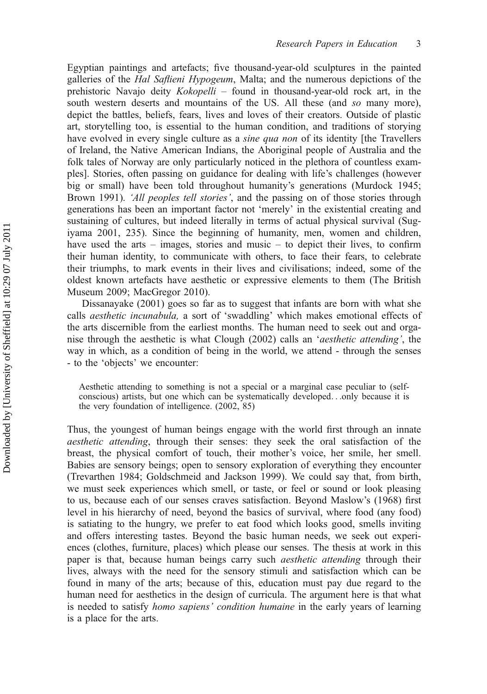Egyptian paintings and artefacts; five thousand-year-old sculptures in the painted galleries of the Hal Saflieni Hypogeum, Malta; and the numerous depictions of the prehistoric Navajo deity Kokopelli – found in thousand-year-old rock art, in the south western deserts and mountains of the US. All these (and so many more), depict the battles, beliefs, fears, lives and loves of their creators. Outside of plastic art, storytelling too, is essential to the human condition, and traditions of storying have evolved in every single culture as a *sine qua non* of its identity [the Travellers of Ireland, the Native American Indians, the Aboriginal people of Australia and the folk tales of Norway are only particularly noticed in the plethora of countless examples]. Stories, often passing on guidance for dealing with life's challenges (however big or small) have been told throughout humanity's generations (Murdock 1945; Brown 1991). 'All peoples tell stories', and the passing on of those stories through generations has been an important factor not 'merely' in the existential creating and sustaining of cultures, but indeed literally in terms of actual physical survival (Sugiyama 2001, 235). Since the beginning of humanity, men, women and children, have used the arts – images, stories and music – to depict their lives, to confirm their human identity, to communicate with others, to face their fears, to celebrate their triumphs, to mark events in their lives and civilisations; indeed, some of the oldest known artefacts have aesthetic or expressive elements to them (The British Museum 2009; MacGregor 2010).

Dissanayake (2001) goes so far as to suggest that infants are born with what she calls aesthetic incunabula, a sort of 'swaddling' which makes emotional effects of the arts discernible from the earliest months. The human need to seek out and organise through the aesthetic is what Clough (2002) calls an 'aesthetic attending', the way in which, as a condition of being in the world, we attend - through the senses - to the 'objects' we encounter:

Aesthetic attending to something is not a special or a marginal case peculiar to (selfconscious) artists, but one which can be systematically developed...only because it is the very foundation of intelligence. (2002, 85)

Thus, the youngest of human beings engage with the world first through an innate aesthetic attending, through their senses: they seek the oral satisfaction of the breast, the physical comfort of touch, their mother's voice, her smile, her smell. Babies are sensory beings; open to sensory exploration of everything they encounter (Trevarthen 1984; Goldschmeid and Jackson 1999). We could say that, from birth, we must seek experiences which smell, or taste, or feel or sound or look pleasing to us, because each of our senses craves satisfaction. Beyond Maslow's (1968) first level in his hierarchy of need, beyond the basics of survival, where food (any food) is satiating to the hungry, we prefer to eat food which looks good, smells inviting and offers interesting tastes. Beyond the basic human needs, we seek out experiences (clothes, furniture, places) which please our senses. The thesis at work in this paper is that, because human beings carry such *aesthetic attending* through their lives, always with the need for the sensory stimuli and satisfaction which can be found in many of the arts; because of this, education must pay due regard to the human need for aesthetics in the design of curricula. The argument here is that what is needed to satisfy *homo sapiens' condition humaine* in the early years of learning is a place for the arts.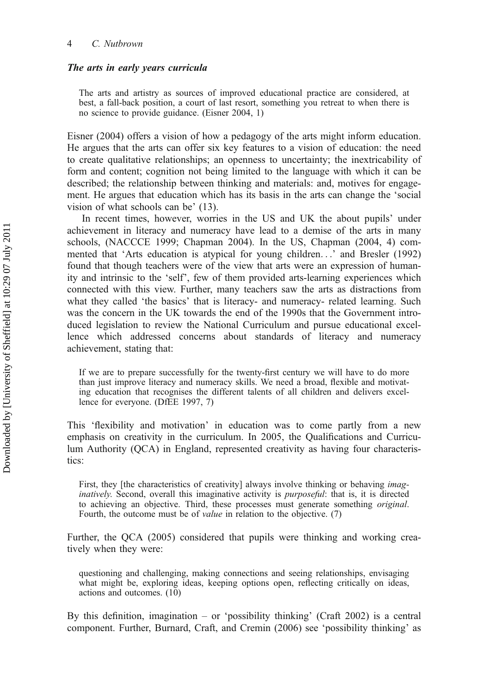#### 4 C. Nutbrown

## The arts in early years curricula

The arts and artistry as sources of improved educational practice are considered, at best, a fall-back position, a court of last resort, something you retreat to when there is no science to provide guidance. (Eisner 2004, 1)

Eisner (2004) offers a vision of how a pedagogy of the arts might inform education. He argues that the arts can offer six key features to a vision of education: the need to create qualitative relationships; an openness to uncertainty; the inextricability of form and content; cognition not being limited to the language with which it can be described; the relationship between thinking and materials: and, motives for engagement. He argues that education which has its basis in the arts can change the 'social vision of what schools can be' (13).

In recent times, however, worries in the US and UK the about pupils' under achievement in literacy and numeracy have lead to a demise of the arts in many schools, (NACCCE 1999; Chapman 2004). In the US, Chapman (2004, 4) commented that 'Arts education is atypical for young children...' and Bresler (1992) found that though teachers were of the view that arts were an expression of humanity and intrinsic to the 'self', few of them provided arts-learning experiences which connected with this view. Further, many teachers saw the arts as distractions from what they called 'the basics' that is literacy- and numeracy- related learning. Such was the concern in the UK towards the end of the 1990s that the Government introduced legislation to review the National Curriculum and pursue educational excellence which addressed concerns about standards of literacy and numeracy achievement, stating that:

If we are to prepare successfully for the twenty-first century we will have to do more than just improve literacy and numeracy skills. We need a broad, flexible and motivating education that recognises the different talents of all children and delivers excellence for everyone. (DfEE 1997, 7)

This 'flexibility and motivation' in education was to come partly from a new emphasis on creativity in the curriculum. In 2005, the Qualifications and Curriculum Authority (QCA) in England, represented creativity as having four characteristics:

First, they [the characteristics of creativity] always involve thinking or behaving *imag*inatively. Second, overall this imaginative activity is *purposeful*: that is, it is directed to achieving an objective. Third, these processes must generate something original. Fourth, the outcome must be of value in relation to the objective. (7)

Further, the QCA (2005) considered that pupils were thinking and working creatively when they were:

questioning and challenging, making connections and seeing relationships, envisaging what might be, exploring ideas, keeping options open, reflecting critically on ideas, actions and outcomes. (10)

By this definition, imagination – or 'possibility thinking' (Craft 2002) is a central component. Further, Burnard, Craft, and Cremin (2006) see 'possibility thinking' as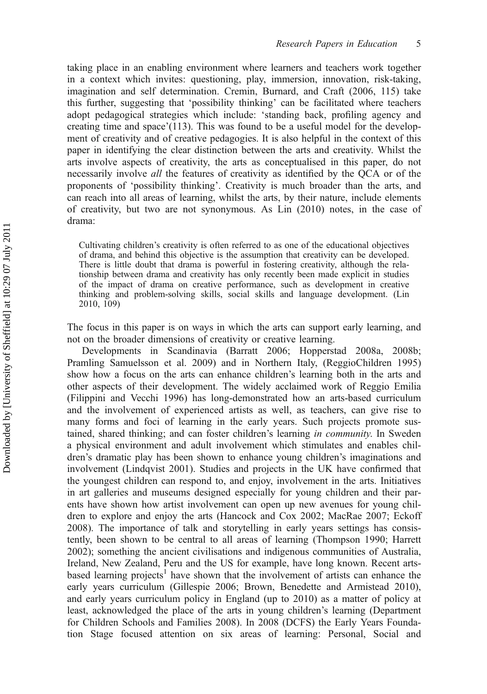taking place in an enabling environment where learners and teachers work together in a context which invites: questioning, play, immersion, innovation, risk-taking, imagination and self determination. Cremin, Burnard, and Craft (2006, 115) take this further, suggesting that 'possibility thinking' can be facilitated where teachers adopt pedagogical strategies which include: 'standing back, profiling agency and creating time and space'(113). This was found to be a useful model for the development of creativity and of creative pedagogies. It is also helpful in the context of this paper in identifying the clear distinction between the arts and creativity. Whilst the arts involve aspects of creativity, the arts as conceptualised in this paper, do not necessarily involve all the features of creativity as identified by the QCA or of the proponents of 'possibility thinking'. Creativity is much broader than the arts, and can reach into all areas of learning, whilst the arts, by their nature, include elements of creativity, but two are not synonymous. As Lin (2010) notes, in the case of drama:

Cultivating children's creativity is often referred to as one of the educational objectives of drama, and behind this objective is the assumption that creativity can be developed. There is little doubt that drama is powerful in fostering creativity, although the relationship between drama and creativity has only recently been made explicit in studies of the impact of drama on creative performance, such as development in creative thinking and problem-solving skills, social skills and language development. (Lin 2010, 109)

The focus in this paper is on ways in which the arts can support early learning, and not on the broader dimensions of creativity or creative learning.

Developments in Scandinavia (Barratt 2006; Hopperstad 2008a, 2008b; Pramling Samuelsson et al. 2009) and in Northern Italy, (ReggioChildren 1995) show how a focus on the arts can enhance children's learning both in the arts and other aspects of their development. The widely acclaimed work of Reggio Emilia (Filippini and Vecchi 1996) has long-demonstrated how an arts-based curriculum and the involvement of experienced artists as well, as teachers, can give rise to many forms and foci of learning in the early years. Such projects promote sustained, shared thinking; and can foster children's learning in community. In Sweden a physical environment and adult involvement which stimulates and enables children's dramatic play has been shown to enhance young children's imaginations and involvement (Lindqvist 2001). Studies and projects in the UK have confirmed that the youngest children can respond to, and enjoy, involvement in the arts. Initiatives in art galleries and museums designed especially for young children and their parents have shown how artist involvement can open up new avenues for young children to explore and enjoy the arts (Hancock and Cox 2002; MacRae 2007; Eckoff 2008). The importance of talk and storytelling in early years settings has consistently, been shown to be central to all areas of learning (Thompson 1990; Harrett 2002); something the ancient civilisations and indigenous communities of Australia, Ireland, New Zealand, Peru and the US for example, have long known. Recent artsbased learning projects<sup>1</sup> have shown that the involvement of artists can enhance the early years curriculum (Gillespie 2006; Brown, Benedette and Armistead 2010), and early years curriculum policy in England (up to 2010) as a matter of policy at least, acknowledged the place of the arts in young children's learning (Department for Children Schools and Families 2008). In 2008 (DCFS) the Early Years Foundation Stage focused attention on six areas of learning: Personal, Social and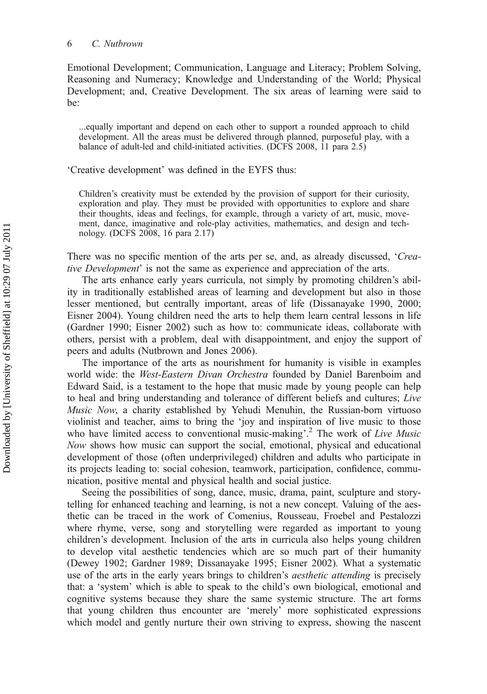Emotional Development; Communication, Language and Literacy; Problem Solving, Reasoning and Numeracy; Knowledge and Understanding of the World; Physical Development; and, Creative Development. The six areas of learning were said to be:

...equally important and depend on each other to support a rounded approach to child development. All the areas must be delivered through planned, purposeful play, with a balance of adult-led and child-initiated activities. (DCFS 2008, 11 para 2.5)

'Creative development' was defined in the EYFS thus:

Children's creativity must be extended by the provision of support for their curiosity, exploration and play. They must be provided with opportunities to explore and share their thoughts, ideas and feelings, for example, through a variety of art, music, movement, dance, imaginative and role-play activities, mathematics, and design and technology. (DCFS 2008, 16 para 2.17)

There was no specific mention of the arts per se, and, as already discussed, 'Creative Development' is not the same as experience and appreciation of the arts.

The arts enhance early years curricula, not simply by promoting children's ability in traditionally established areas of learning and development but also in those lesser mentioned, but centrally important, areas of life (Dissanayake 1990, 2000; Eisner 2004). Young children need the arts to help them learn central lessons in life (Gardner 1990; Eisner 2002) such as how to: communicate ideas, collaborate with others, persist with a problem, deal with disappointment, and enjoy the support of peers and adults (Nutbrown and Jones 2006).

The importance of the arts as nourishment for humanity is visible in examples world wide: the West-Eastern Divan Orchestra founded by Daniel Barenboim and Edward Said, is a testament to the hope that music made by young people can help to heal and bring understanding and tolerance of different beliefs and cultures; Live Music Now, a charity established by Yehudi Menuhin, the Russian-born virtuoso violinist and teacher, aims to bring the 'joy and inspiration of live music to those who have limited access to conventional music-making'.<sup>2</sup> The work of Live Music Now shows how music can support the social, emotional, physical and educational development of those (often underprivileged) children and adults who participate in its projects leading to: social cohesion, teamwork, participation, confidence, communication, positive mental and physical health and social justice.

Seeing the possibilities of song, dance, music, drama, paint, sculpture and storytelling for enhanced teaching and learning, is not a new concept. Valuing of the aesthetic can be traced in the work of Comenius, Rousseau, Froebel and Pestalozzi where rhyme, verse, song and storytelling were regarded as important to young children's development. Inclusion of the arts in curricula also helps young children to develop vital aesthetic tendencies which are so much part of their humanity (Dewey 1902; Gardner 1989; Dissanayake 1995; Eisner 2002). What a systematic use of the arts in the early years brings to children's *aesthetic attending* is precisely that: a 'system' which is able to speak to the child's own biological, emotional and cognitive systems because they share the same systemic structure. The art forms that young children thus encounter are 'merely' more sophisticated expressions which model and gently nurture their own striving to express, showing the nascent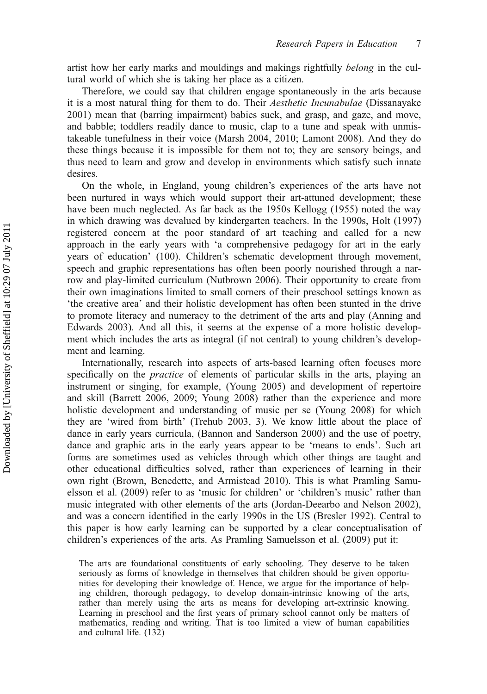artist how her early marks and mouldings and makings rightfully belong in the cultural world of which she is taking her place as a citizen.

Therefore, we could say that children engage spontaneously in the arts because it is a most natural thing for them to do. Their Aesthetic Incunabulae (Dissanayake 2001) mean that (barring impairment) babies suck, and grasp, and gaze, and move, and babble; toddlers readily dance to music, clap to a tune and speak with unmistakeable tunefulness in their voice (Marsh 2004, 2010; Lamont 2008). And they do these things because it is impossible for them not to; they are sensory beings, and thus need to learn and grow and develop in environments which satisfy such innate desires.

On the whole, in England, young children's experiences of the arts have not been nurtured in ways which would support their art-attuned development; these have been much neglected. As far back as the 1950s Kellogg (1955) noted the way in which drawing was devalued by kindergarten teachers. In the 1990s, Holt (1997) registered concern at the poor standard of art teaching and called for a new approach in the early years with 'a comprehensive pedagogy for art in the early years of education' (100). Children's schematic development through movement, speech and graphic representations has often been poorly nourished through a narrow and play-limited curriculum (Nutbrown 2006). Their opportunity to create from their own imaginations limited to small corners of their preschool settings known as 'the creative area' and their holistic development has often been stunted in the drive to promote literacy and numeracy to the detriment of the arts and play (Anning and Edwards 2003). And all this, it seems at the expense of a more holistic development which includes the arts as integral (if not central) to young children's development and learning.

Internationally, research into aspects of arts-based learning often focuses more specifically on the *practice* of elements of particular skills in the arts, playing an instrument or singing, for example, (Young 2005) and development of repertoire and skill (Barrett 2006, 2009; Young 2008) rather than the experience and more holistic development and understanding of music per se (Young 2008) for which they are 'wired from birth' (Trehub 2003, 3). We know little about the place of dance in early years curricula, (Bannon and Sanderson 2000) and the use of poetry, dance and graphic arts in the early years appear to be 'means to ends'. Such art forms are sometimes used as vehicles through which other things are taught and other educational difficulties solved, rather than experiences of learning in their own right (Brown, Benedette, and Armistead 2010). This is what Pramling Samuelsson et al. (2009) refer to as 'music for children' or 'children's music' rather than music integrated with other elements of the arts (Jordan-Deearbo and Nelson 2002), and was a concern identified in the early 1990s in the US (Bresler 1992). Central to this paper is how early learning can be supported by a clear conceptualisation of children's experiences of the arts. As Pramling Samuelsson et al. (2009) put it:

The arts are foundational constituents of early schooling. They deserve to be taken seriously as forms of knowledge in themselves that children should be given opportunities for developing their knowledge of. Hence, we argue for the importance of helping children, thorough pedagogy, to develop domain-intrinsic knowing of the arts, rather than merely using the arts as means for developing art-extrinsic knowing. Learning in preschool and the first years of primary school cannot only be matters of mathematics, reading and writing. That is too limited a view of human capabilities and cultural life. (132)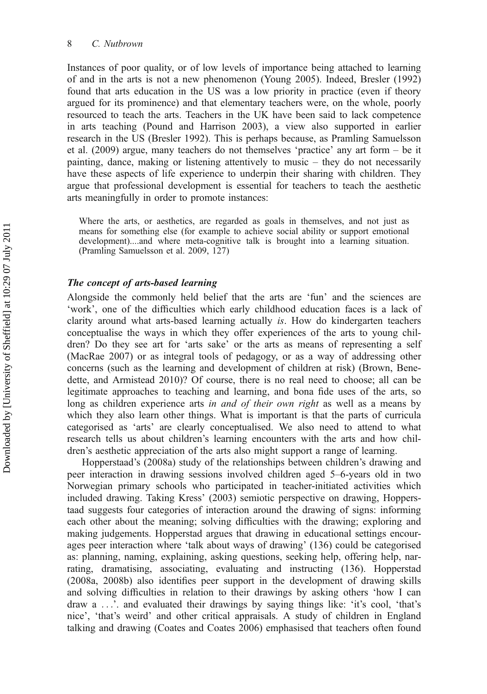Instances of poor quality, or of low levels of importance being attached to learning of and in the arts is not a new phenomenon (Young 2005). Indeed, Bresler (1992) found that arts education in the US was a low priority in practice (even if theory argued for its prominence) and that elementary teachers were, on the whole, poorly resourced to teach the arts. Teachers in the UK have been said to lack competence in arts teaching (Pound and Harrison 2003), a view also supported in earlier research in the US (Bresler 1992). This is perhaps because, as Pramling Samuelsson et al. (2009) argue, many teachers do not themselves 'practice' any art form – be it painting, dance, making or listening attentively to music – they do not necessarily have these aspects of life experience to underpin their sharing with children. They argue that professional development is essential for teachers to teach the aesthetic arts meaningfully in order to promote instances:

Where the arts, or aesthetics, are regarded as goals in themselves, and not just as means for something else (for example to achieve social ability or support emotional development)....and where meta-cognitive talk is brought into a learning situation. (Pramling Samuelsson et al. 2009, 127)

# The concept of arts-based learning

Alongside the commonly held belief that the arts are 'fun' and the sciences are 'work', one of the difficulties which early childhood education faces is a lack of clarity around what arts-based learning actually is. How do kindergarten teachers conceptualise the ways in which they offer experiences of the arts to young children? Do they see art for 'arts sake' or the arts as means of representing a self (MacRae 2007) or as integral tools of pedagogy, or as a way of addressing other concerns (such as the learning and development of children at risk) (Brown, Benedette, and Armistead 2010)? Of course, there is no real need to choose; all can be legitimate approaches to teaching and learning, and bona fide uses of the arts, so long as children experience arts in and of their own right as well as a means by which they also learn other things. What is important is that the parts of curricula categorised as 'arts' are clearly conceptualised. We also need to attend to what research tells us about children's learning encounters with the arts and how children's aesthetic appreciation of the arts also might support a range of learning.

Hopperstaad's (2008a) study of the relationships between children's drawing and peer interaction in drawing sessions involved children aged 5–6-years old in two Norwegian primary schools who participated in teacher-initiated activities which included drawing. Taking Kress' (2003) semiotic perspective on drawing, Hopperstaad suggests four categories of interaction around the drawing of signs: informing each other about the meaning; solving difficulties with the drawing; exploring and making judgements. Hopperstad argues that drawing in educational settings encourages peer interaction where 'talk about ways of drawing' (136) could be categorised as: planning, naming, explaining, asking questions, seeking help, offering help, narrating, dramatising, associating, evaluating and instructing (136). Hopperstad (2008a, 2008b) also identifies peer support in the development of drawing skills and solving difficulties in relation to their drawings by asking others 'how I can draw a ...'. and evaluated their drawings by saying things like: 'it's cool, 'that's nice', 'that's weird' and other critical appraisals. A study of children in England talking and drawing (Coates and Coates 2006) emphasised that teachers often found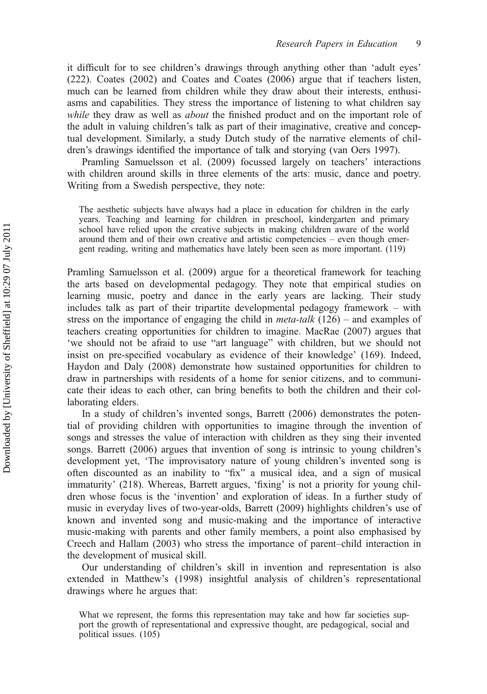it difficult for to see children's drawings through anything other than 'adult eyes' (222). Coates (2002) and Coates and Coates (2006) argue that if teachers listen, much can be learned from children while they draw about their interests, enthusiasms and capabilities. They stress the importance of listening to what children say while they draw as well as *about* the finished product and on the important role of the adult in valuing children's talk as part of their imaginative, creative and conceptual development. Similarly, a study Dutch study of the narrative elements of children's drawings identified the importance of talk and storying (van Oers 1997).

Pramling Samuelsson et al. (2009) focussed largely on teachers' interactions with children around skills in three elements of the arts: music, dance and poetry. Writing from a Swedish perspective, they note:

The aesthetic subjects have always had a place in education for children in the early years. Teaching and learning for children in preschool, kindergarten and primary school have relied upon the creative subjects in making children aware of the world around them and of their own creative and artistic competencies – even though emergent reading, writing and mathematics have lately been seen as more important. (119)

Pramling Samuelsson et al. (2009) argue for a theoretical framework for teaching the arts based on developmental pedagogy. They note that empirical studies on learning music, poetry and dance in the early years are lacking. Their study includes talk as part of their tripartite developmental pedagogy framework – with stress on the importance of engaging the child in *meta-talk*  $(126)$  – and examples of teachers creating opportunities for children to imagine. MacRae (2007) argues that 'we should not be afraid to use "art language" with children, but we should not insist on pre-specified vocabulary as evidence of their knowledge' (169). Indeed, Haydon and Daly (2008) demonstrate how sustained opportunities for children to draw in partnerships with residents of a home for senior citizens, and to communicate their ideas to each other, can bring benefits to both the children and their collaborating elders.

In a study of children's invented songs, Barrett (2006) demonstrates the potential of providing children with opportunities to imagine through the invention of songs and stresses the value of interaction with children as they sing their invented songs. Barrett (2006) argues that invention of song is intrinsic to young children's development yet, 'The improvisatory nature of young children's invented song is often discounted as an inability to "fix" a musical idea, and a sign of musical immaturity' (218). Whereas, Barrett argues, 'fixing' is not a priority for young children whose focus is the 'invention' and exploration of ideas. In a further study of music in everyday lives of two-year-olds, Barrett (2009) highlights children's use of known and invented song and music-making and the importance of interactive music-making with parents and other family members, a point also emphasised by Creech and Hallam (2003) who stress the importance of parent–child interaction in the development of musical skill.

Our understanding of children's skill in invention and representation is also extended in Matthew's (1998) insightful analysis of children's representational drawings where he argues that:

What we represent, the forms this representation may take and how far societies support the growth of representational and expressive thought, are pedagogical, social and political issues. (105)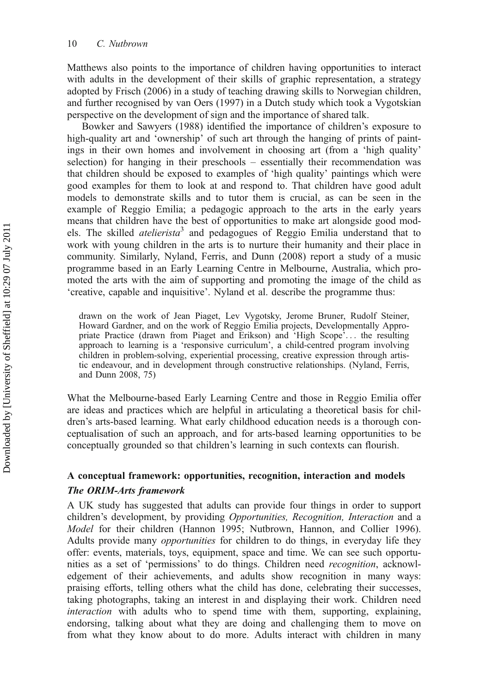Matthews also points to the importance of children having opportunities to interact with adults in the development of their skills of graphic representation, a strategy adopted by Frisch (2006) in a study of teaching drawing skills to Norwegian children, and further recognised by van Oers (1997) in a Dutch study which took a Vygotskian perspective on the development of sign and the importance of shared talk.

Bowker and Sawyers (1988) identified the importance of children's exposure to high-quality art and 'ownership' of such art through the hanging of prints of paintings in their own homes and involvement in choosing art (from a 'high quality' selection) for hanging in their preschools – essentially their recommendation was that children should be exposed to examples of 'high quality' paintings which were good examples for them to look at and respond to. That children have good adult models to demonstrate skills and to tutor them is crucial, as can be seen in the example of Reggio Emilia; a pedagogic approach to the arts in the early years means that children have the best of opportunities to make art alongside good models. The skilled *atelierista*<sup>3</sup> and pedagogues of Reggio Emilia understand that to work with young children in the arts is to nurture their humanity and their place in community. Similarly, Nyland, Ferris, and Dunn (2008) report a study of a music programme based in an Early Learning Centre in Melbourne, Australia, which promoted the arts with the aim of supporting and promoting the image of the child as 'creative, capable and inquisitive'. Nyland et al. describe the programme thus:

drawn on the work of Jean Piaget, Lev Vygotsky, Jerome Bruner, Rudolf Steiner, Howard Gardner, and on the work of Reggio Emilia projects, Developmentally Appropriate Practice (drawn from Piaget and Erikson) and 'High Scope'... the resulting approach to learning is a 'responsive curriculum', a child-centred program involving children in problem-solving, experiential processing, creative expression through artistic endeavour, and in development through constructive relationships. (Nyland, Ferris, and Dunn 2008, 75)

What the Melbourne-based Early Learning Centre and those in Reggio Emilia offer are ideas and practices which are helpful in articulating a theoretical basis for children's arts-based learning. What early childhood education needs is a thorough conceptualisation of such an approach, and for arts-based learning opportunities to be conceptually grounded so that children's learning in such contexts can flourish.

# A conceptual framework: opportunities, recognition, interaction and models The ORIM-Arts framework

A UK study has suggested that adults can provide four things in order to support children's development, by providing Opportunities, Recognition, Interaction and a Model for their children (Hannon 1995; Nutbrown, Hannon, and Collier 1996). Adults provide many opportunities for children to do things, in everyday life they offer: events, materials, toys, equipment, space and time. We can see such opportunities as a set of 'permissions' to do things. Children need recognition, acknowledgement of their achievements, and adults show recognition in many ways: praising efforts, telling others what the child has done, celebrating their successes, taking photographs, taking an interest in and displaying their work. Children need interaction with adults who to spend time with them, supporting, explaining, endorsing, talking about what they are doing and challenging them to move on from what they know about to do more. Adults interact with children in many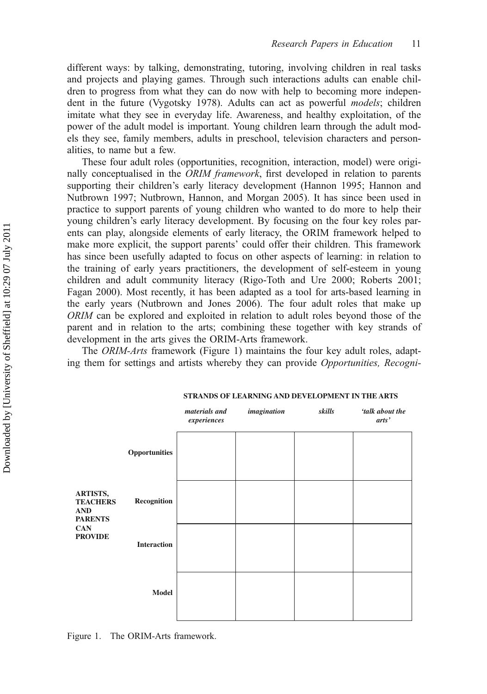different ways: by talking, demonstrating, tutoring, involving children in real tasks and projects and playing games. Through such interactions adults can enable children to progress from what they can do now with help to becoming more independent in the future (Vygotsky 1978). Adults can act as powerful models; children imitate what they see in everyday life. Awareness, and healthy exploitation, of the power of the adult model is important. Young children learn through the adult models they see, family members, adults in preschool, television characters and personalities, to name but a few.

These four adult roles (opportunities, recognition, interaction, model) were originally conceptualised in the *ORIM framework*, first developed in relation to parents supporting their children's early literacy development (Hannon 1995; Hannon and Nutbrown 1997; Nutbrown, Hannon, and Morgan 2005). It has since been used in practice to support parents of young children who wanted to do more to help their young children's early literacy development. By focusing on the four key roles parents can play, alongside elements of early literacy, the ORIM framework helped to make more explicit, the support parents' could offer their children. This framework has since been usefully adapted to focus on other aspects of learning: in relation to the training of early years practitioners, the development of self-esteem in young children and adult community literacy (Rigo-Toth and Ure 2000; Roberts 2001; Fagan 2000). Most recently, it has been adapted as a tool for arts-based learning in the early years (Nutbrown and Jones 2006). The four adult roles that make up ORIM can be explored and exploited in relation to adult roles beyond those of the parent and in relation to the arts; combining these together with key strands of development in the arts gives the ORIM-Arts framework.

The ORIM-Arts framework (Figure 1) maintains the four key adult roles, adapting them for settings and artists whereby they can provide Opportunities, Recogni-



**STRANDS OF LEARNING AND DEVELOPMENT IN THE ARTS** 

Figure 1. The ORIM-Arts framework.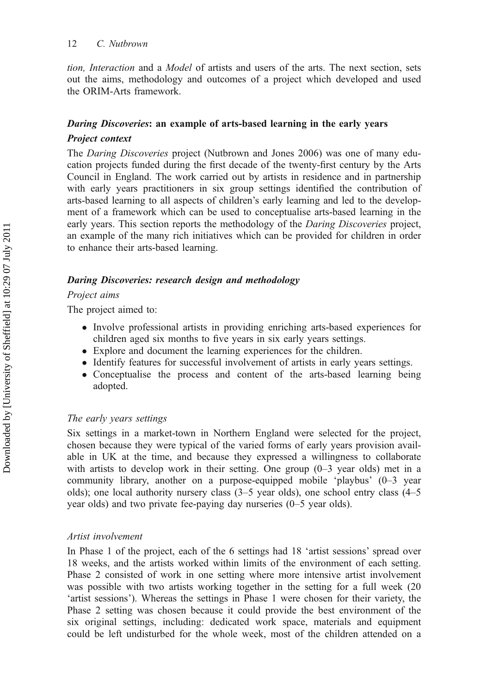tion, Interaction and a Model of artists and users of the arts. The next section, sets out the aims, methodology and outcomes of a project which developed and used the ORIM-Arts framework.

# Daring Discoveries: an example of arts-based learning in the early years

# Project context

The Daring Discoveries project (Nutbrown and Jones 2006) was one of many education projects funded during the first decade of the twenty-first century by the Arts Council in England. The work carried out by artists in residence and in partnership with early years practitioners in six group settings identified the contribution of arts-based learning to all aspects of children's early learning and led to the development of a framework which can be used to conceptualise arts-based learning in the early years. This section reports the methodology of the *Daring Discoveries* project, an example of the many rich initiatives which can be provided for children in order to enhance their arts-based learning.

# Daring Discoveries: research design and methodology

## Project aims

The project aimed to:

- Involve professional artists in providing enriching arts-based experiences for children aged six months to five years in six early years settings.
- Explore and document the learning experiences for the children.
- Identify features for successful involvement of artists in early years settings.
- Conceptualise the process and content of the arts-based learning being adopted.

## The early years settings

Six settings in a market-town in Northern England were selected for the project, chosen because they were typical of the varied forms of early years provision available in UK at the time, and because they expressed a willingness to collaborate with artists to develop work in their setting. One group (0–3 year olds) met in a community library, another on a purpose-equipped mobile 'playbus' (0–3 year olds); one local authority nursery class (3–5 year olds), one school entry class (4–5 year olds) and two private fee-paying day nurseries (0–5 year olds).

# Artist involvement

In Phase 1 of the project, each of the 6 settings had 18 'artist sessions' spread over 18 weeks, and the artists worked within limits of the environment of each setting. Phase 2 consisted of work in one setting where more intensive artist involvement was possible with two artists working together in the setting for a full week (20 'artist sessions'). Whereas the settings in Phase 1 were chosen for their variety, the Phase 2 setting was chosen because it could provide the best environment of the six original settings, including: dedicated work space, materials and equipment could be left undisturbed for the whole week, most of the children attended on a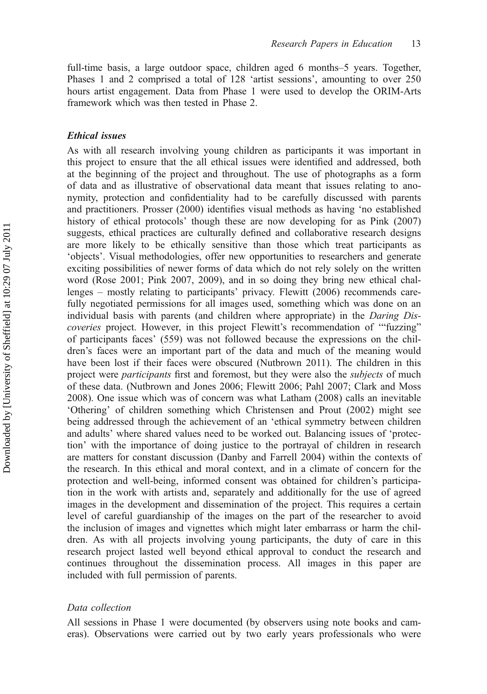full-time basis, a large outdoor space, children aged 6 months–5 years. Together, Phases 1 and 2 comprised a total of 128 'artist sessions', amounting to over 250 hours artist engagement. Data from Phase 1 were used to develop the ORIM-Arts framework which was then tested in Phase 2.

#### Ethical issues

As with all research involving young children as participants it was important in this project to ensure that the all ethical issues were identified and addressed, both at the beginning of the project and throughout. The use of photographs as a form of data and as illustrative of observational data meant that issues relating to anonymity, protection and confidentiality had to be carefully discussed with parents and practitioners. Prosser (2000) identifies visual methods as having 'no established history of ethical protocols' though these are now developing for as Pink (2007) suggests, ethical practices are culturally defined and collaborative research designs are more likely to be ethically sensitive than those which treat participants as 'objects'. Visual methodologies, offer new opportunities to researchers and generate exciting possibilities of newer forms of data which do not rely solely on the written word (Rose 2001; Pink 2007, 2009), and in so doing they bring new ethical challenges – mostly relating to participants' privacy. Flewitt (2006) recommends carefully negotiated permissions for all images used, something which was done on an individual basis with parents (and children where appropriate) in the Daring Discoveries project. However, in this project Flewitt's recommendation of '"fuzzing" of participants faces' (559) was not followed because the expressions on the children's faces were an important part of the data and much of the meaning would have been lost if their faces were obscured (Nutbrown 2011). The children in this project were *participants* first and foremost, but they were also the *subjects* of much of these data. (Nutbrown and Jones 2006; Flewitt 2006; Pahl 2007; Clark and Moss 2008). One issue which was of concern was what Latham (2008) calls an inevitable 'Othering' of children something which Christensen and Prout (2002) might see being addressed through the achievement of an 'ethical symmetry between children and adults' where shared values need to be worked out. Balancing issues of 'protection' with the importance of doing justice to the portrayal of children in research are matters for constant discussion (Danby and Farrell 2004) within the contexts of the research. In this ethical and moral context, and in a climate of concern for the protection and well-being, informed consent was obtained for children's participation in the work with artists and, separately and additionally for the use of agreed images in the development and dissemination of the project. This requires a certain level of careful guardianship of the images on the part of the researcher to avoid the inclusion of images and vignettes which might later embarrass or harm the children. As with all projects involving young participants, the duty of care in this research project lasted well beyond ethical approval to conduct the research and continues throughout the dissemination process. All images in this paper are included with full permission of parents.

## Data collection

All sessions in Phase 1 were documented (by observers using note books and cameras). Observations were carried out by two early years professionals who were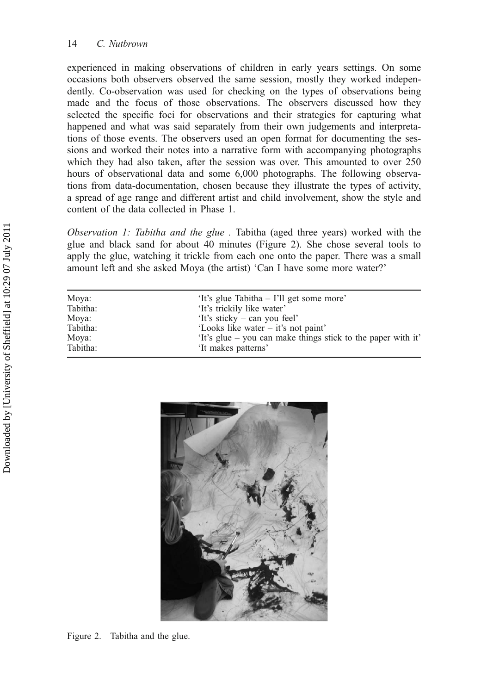experienced in making observations of children in early years settings. On some occasions both observers observed the same session, mostly they worked independently. Co-observation was used for checking on the types of observations being made and the focus of those observations. The observers discussed how they selected the specific foci for observations and their strategies for capturing what happened and what was said separately from their own judgements and interpretations of those events. The observers used an open format for documenting the sessions and worked their notes into a narrative form with accompanying photographs which they had also taken, after the session was over. This amounted to over 250 hours of observational data and some 6,000 photographs. The following observations from data-documentation, chosen because they illustrate the types of activity, a spread of age range and different artist and child involvement, show the style and content of the data collected in Phase 1.

Observation 1: Tabitha and the glue . Tabitha (aged three years) worked with the glue and black sand for about 40 minutes (Figure 2). She chose several tools to apply the glue, watching it trickle from each one onto the paper. There was a small amount left and she asked Moya (the artist) 'Can I have some more water?'

| Moya:<br>Tabitha: | 'It's glue Tabitha – I'll get some more'<br>'It's trickily like water' |
|-------------------|------------------------------------------------------------------------|
| Moya:             | 'It's sticky – can you feel'                                           |
| Tabitha:          | 'Looks like water $-$ it's not paint'                                  |
| Moya:             | 'It's glue – you can make things stick to the paper with it'           |
| Tabitha:          | 'It makes patterns'                                                    |



Figure 2. Tabitha and the glue.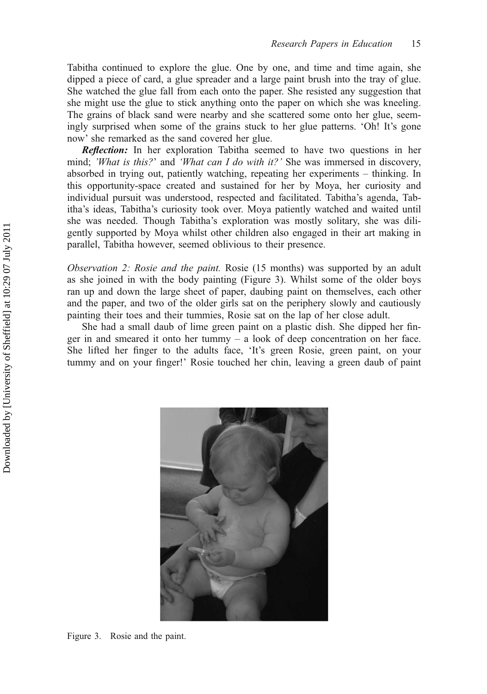Tabitha continued to explore the glue. One by one, and time and time again, she dipped a piece of card, a glue spreader and a large paint brush into the tray of glue. She watched the glue fall from each onto the paper. She resisted any suggestion that she might use the glue to stick anything onto the paper on which she was kneeling. The grains of black sand were nearby and she scattered some onto her glue, seemingly surprised when some of the grains stuck to her glue patterns. 'Oh! It's gone now' she remarked as the sand covered her glue.

**Reflection:** In her exploration Tabitha seemed to have two questions in her mind; 'What is this?' and 'What can I do with it?' She was immersed in discovery, absorbed in trying out, patiently watching, repeating her experiments – thinking. In this opportunity-space created and sustained for her by Moya, her curiosity and individual pursuit was understood, respected and facilitated. Tabitha's agenda, Tabitha's ideas, Tabitha's curiosity took over. Moya patiently watched and waited until she was needed. Though Tabitha's exploration was mostly solitary, she was diligently supported by Moya whilst other children also engaged in their art making in parallel, Tabitha however, seemed oblivious to their presence.

Observation 2: Rosie and the paint. Rosie (15 months) was supported by an adult as she joined in with the body painting (Figure 3). Whilst some of the older boys ran up and down the large sheet of paper, daubing paint on themselves, each other and the paper, and two of the older girls sat on the periphery slowly and cautiously painting their toes and their tummies, Rosie sat on the lap of her close adult.

She had a small daub of lime green paint on a plastic dish. She dipped her finger in and smeared it onto her tummy – a look of deep concentration on her face. She lifted her finger to the adults face, 'It's green Rosie, green paint, on your tummy and on your finger!' Rosie touched her chin, leaving a green daub of paint



Figure 3. Rosie and the paint.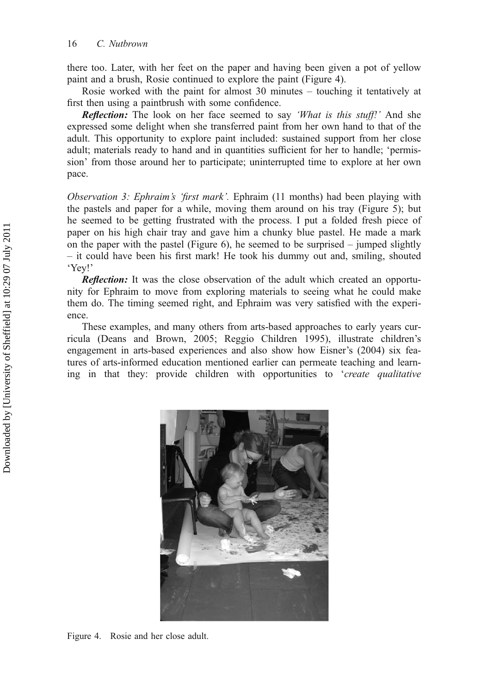there too. Later, with her feet on the paper and having been given a pot of yellow paint and a brush, Rosie continued to explore the paint (Figure 4).

Rosie worked with the paint for almost 30 minutes – touching it tentatively at first then using a paintbrush with some confidence.

**Reflection:** The look on her face seemed to say 'What is this stuff!' And she expressed some delight when she transferred paint from her own hand to that of the adult. This opportunity to explore paint included: sustained support from her close adult; materials ready to hand and in quantities sufficient for her to handle; 'permission' from those around her to participate; uninterrupted time to explore at her own pace.

Observation 3: Ephraim's 'first mark'. Ephraim (11 months) had been playing with the pastels and paper for a while, moving them around on his tray (Figure 5); but he seemed to be getting frustrated with the process. I put a folded fresh piece of paper on his high chair tray and gave him a chunky blue pastel. He made a mark on the paper with the pastel (Figure 6), he seemed to be surprised  $-$  jumped slightly – it could have been his first mark! He took his dummy out and, smiling, shouted 'Yey!'

**Reflection:** It was the close observation of the adult which created an opportunity for Ephraim to move from exploring materials to seeing what he could make them do. The timing seemed right, and Ephraim was very satisfied with the experience.

These examples, and many others from arts-based approaches to early years curricula (Deans and Brown, 2005; Reggio Children 1995), illustrate children's engagement in arts-based experiences and also show how Eisner's (2004) six features of arts-informed education mentioned earlier can permeate teaching and learning in that they: provide children with opportunities to 'create qualitative



Figure 4. Rosie and her close adult.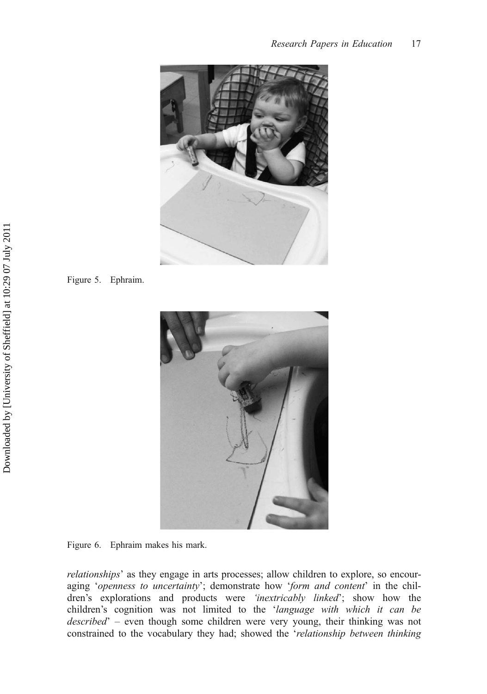





Figure 6. Ephraim makes his mark.

relationships' as they engage in arts processes; allow children to explore, so encouraging 'openness to uncertainty'; demonstrate how 'form and content' in the children's explorations and products were 'inextricably linked'; show how the children's cognition was not limited to the 'language with which it can be described' – even though some children were very young, their thinking was not constrained to the vocabulary they had; showed the 'relationship between thinking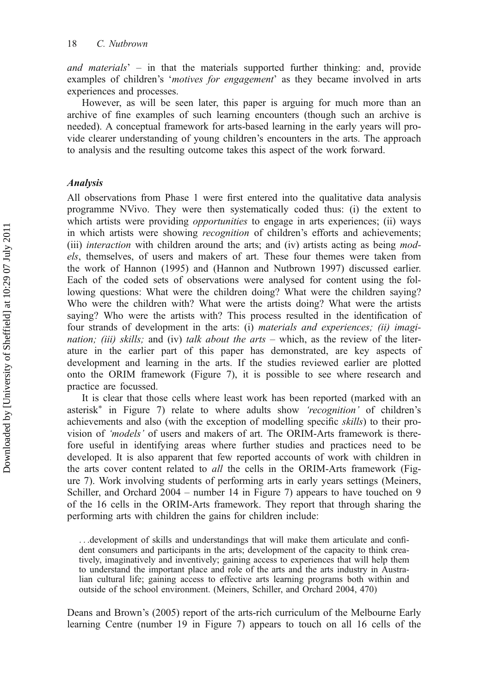and materials' – in that the materials supported further thinking: and, provide examples of children's '*motives for engagement*' as they became involved in arts experiences and processes.

However, as will be seen later, this paper is arguing for much more than an archive of fine examples of such learning encounters (though such an archive is needed). A conceptual framework for arts-based learning in the early years will provide clearer understanding of young children's encounters in the arts. The approach to analysis and the resulting outcome takes this aspect of the work forward.

# Analysis

All observations from Phase 1 were first entered into the qualitative data analysis programme NVivo. They were then systematically coded thus: (i) the extent to which artists were providing *opportunities* to engage in arts experiences; (ii) ways in which artists were showing *recognition* of children's efforts and achievements; (iii) *interaction* with children around the arts; and (iv) artists acting as being models, themselves, of users and makers of art. These four themes were taken from the work of Hannon (1995) and (Hannon and Nutbrown 1997) discussed earlier. Each of the coded sets of observations were analysed for content using the following questions: What were the children doing? What were the children saying? Who were the children with? What were the artists doing? What were the artists saying? Who were the artists with? This process resulted in the identification of four strands of development in the arts: (i) materials and experiences; (ii) imagi*nation; (iii) skills;* and (iv) *talk about the arts – which, as the review of the liter*ature in the earlier part of this paper has demonstrated, are key aspects of development and learning in the arts. If the studies reviewed earlier are plotted onto the ORIM framework (Figure 7), it is possible to see where research and practice are focussed.

It is clear that those cells where least work has been reported (marked with an asterisk<sup>\*</sup> in Figure 7) relate to where adults show 'recognition' of children's achievements and also (with the exception of modelling specific skills) to their provision of 'models' of users and makers of art. The ORIM-Arts framework is therefore useful in identifying areas where further studies and practices need to be developed. It is also apparent that few reported accounts of work with children in the arts cover content related to all the cells in the ORIM-Arts framework (Figure 7). Work involving students of performing arts in early years settings (Meiners, Schiller, and Orchard 2004 – number 14 in Figure 7) appears to have touched on 9 of the 16 cells in the ORIM-Arts framework. They report that through sharing the performing arts with children the gains for children include:

...development of skills and understandings that will make them articulate and confident consumers and participants in the arts; development of the capacity to think creatively, imaginatively and inventively; gaining access to experiences that will help them to understand the important place and role of the arts and the arts industry in Australian cultural life; gaining access to effective arts learning programs both within and outside of the school environment. (Meiners, Schiller, and Orchard 2004, 470)

Deans and Brown's (2005) report of the arts-rich curriculum of the Melbourne Early learning Centre (number 19 in Figure 7) appears to touch on all 16 cells of the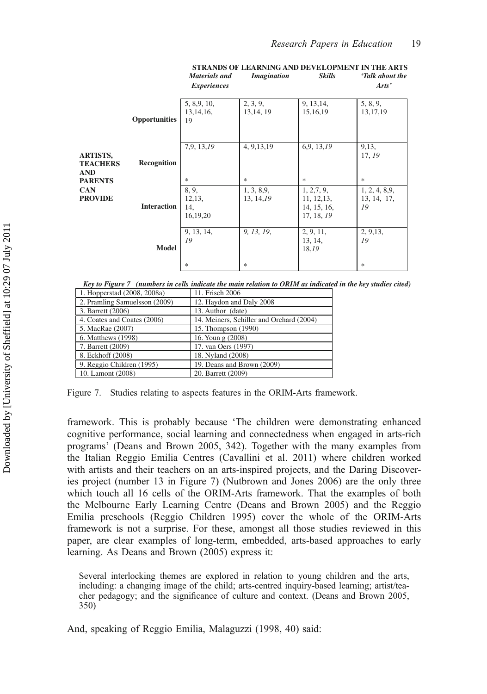**STRANDS OF LEARNING AND DEVELOPMENT IN THE ARTS** 

|                                                                               |                      | Materials and<br><b>Experiences</b> | <i>Imagination</i>        | Skills                                                  | 'Talk about the<br>Arts'            |
|-------------------------------------------------------------------------------|----------------------|-------------------------------------|---------------------------|---------------------------------------------------------|-------------------------------------|
| <b>ARTISTS,</b><br><b>TEACHERS</b><br>AND<br>PARENTS<br>CAN<br><b>PROVIDE</b> | <b>Opportunities</b> | 5, 8, 9, 10,<br>13, 14, 16,<br>19   | 2, 3, 9,<br>13, 14, 19    | 9, 13, 14,<br>15, 16, 19                                | 5, 8, 9,<br>13, 17, 19              |
|                                                                               | Recognition          | 7,9, 13, 19<br>$\ast$               | 4, 9, 13, 19<br>$\ast$    | 6,9, 13, 19<br>$\ast$                                   | 9,13,<br>17, 19<br>*                |
|                                                                               | <b>Interaction</b>   | 8.9.<br>12,13,<br>14,<br>16,19,20   | 1, 3, 8, 9,<br>13, 14, 19 | 1, 2, 7, 9,<br>11, 12, 13,<br>14, 15, 16,<br>17, 18, 19 | 1, 2, 4, 8, 9,<br>13, 14, 17,<br>19 |
|                                                                               | Model                | 9, 13, 14,<br>19<br>$\ast$          | 9, 13, 19,<br>*           | 2, 9, 11,<br>13, 14,<br>18,19                           | 2, 9, 13,<br>19<br>*                |

*Key to Figure 7 (numbers in cells indicate the main relation to ORIM as indicated in the key studies cited)* 

| 1. Hopperstad (2008, 2008a)   | 11. Frisch 2006                          |  |  |
|-------------------------------|------------------------------------------|--|--|
| 2. Pramling Samuelsson (2009) | 12. Haydon and Daly 2008                 |  |  |
| 3. Barrett (2006)             | 13. Author (date)                        |  |  |
| 4. Coates and Coates (2006)   | 14. Meiners, Schiller and Orchard (2004) |  |  |
| 5. MacRae (2007)              | 15. Thompson (1990)                      |  |  |
| 6. Matthews (1998)            | 16. Youn g (2008)                        |  |  |
| 7. Barrett (2009)             | 17. van Oers (1997)                      |  |  |
| 8. Eckhoff (2008)             | 18. Nyland (2008)                        |  |  |
| 9. Reggio Children (1995)     | 19. Deans and Brown (2009)               |  |  |
| 10. Lamont (2008)             | 20. Barrett (2009)                       |  |  |

Figure 7. Studies relating to aspects features in the ORIM-Arts framework.

framework. This is probably because 'The children were demonstrating enhanced cognitive performance, social learning and connectedness when engaged in arts-rich programs' (Deans and Brown 2005, 342). Together with the many examples from the Italian Reggio Emilia Centres (Cavallini et al. 2011) where children worked with artists and their teachers on an arts-inspired projects, and the Daring Discoveries project (number 13 in Figure 7) (Nutbrown and Jones 2006) are the only three which touch all 16 cells of the ORIM-Arts framework. That the examples of both the Melbourne Early Learning Centre (Deans and Brown 2005) and the Reggio Emilia preschools (Reggio Children 1995) cover the whole of the ORIM-Arts framework is not a surprise. For these, amongst all those studies reviewed in this paper, are clear examples of long-term, embedded, arts-based approaches to early learning. As Deans and Brown (2005) express it:

Several interlocking themes are explored in relation to young children and the arts, including: a changing image of the child; arts-centred inquiry-based learning; artist/teacher pedagogy; and the significance of culture and context. (Deans and Brown 2005, 350)

And, speaking of Reggio Emilia, Malaguzzi (1998, 40) said: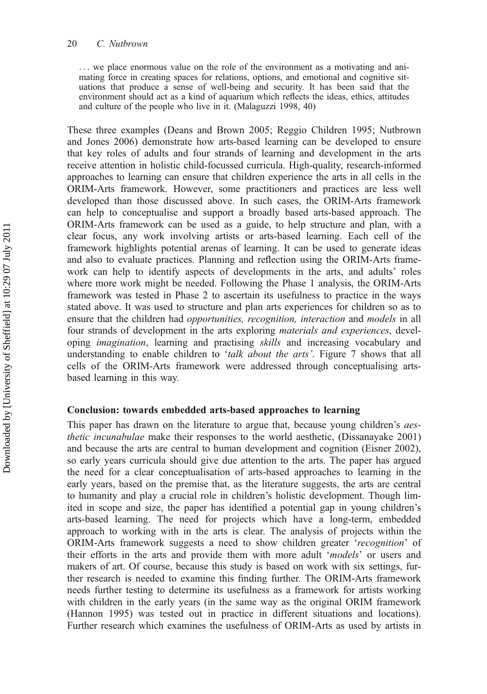... we place enormous value on the role of the environment as a motivating and animating force in creating spaces for relations, options, and emotional and cognitive situations that produce a sense of well-being and security. It has been said that the environment should act as a kind of aquarium which reflects the ideas, ethics, attitudes and culture of the people who live in it. (Malaguzzi 1998, 40)

These three examples (Deans and Brown 2005; Reggio Children 1995; Nutbrown and Jones 2006) demonstrate how arts-based learning can be developed to ensure that key roles of adults and four strands of learning and development in the arts receive attention in holistic child-focussed curricula. High-quality, research-informed approaches to learning can ensure that children experience the arts in all cells in the ORIM-Arts framework. However, some practitioners and practices are less well developed than those discussed above. In such cases, the ORIM-Arts framework can help to conceptualise and support a broadly based arts-based approach. The ORIM-Arts framework can be used as a guide, to help structure and plan, with a clear focus, any work involving artists or arts-based learning. Each cell of the framework highlights potential arenas of learning. It can be used to generate ideas and also to evaluate practices. Planning and reflection using the ORIM-Arts framework can help to identify aspects of developments in the arts, and adults' roles where more work might be needed. Following the Phase 1 analysis, the ORIM-Arts framework was tested in Phase 2 to ascertain its usefulness to practice in the ways stated above. It was used to structure and plan arts experiences for children so as to ensure that the children had *opportunities, recognition, interaction* and *models* in all four strands of development in the arts exploring materials and experiences, developing imagination, learning and practising skills and increasing vocabulary and understanding to enable children to 'talk about the arts'. Figure 7 shows that all cells of the ORIM-Arts framework were addressed through conceptualising artsbased learning in this way.

## Conclusion: towards embedded arts-based approaches to learning

This paper has drawn on the literature to argue that, because young children's *aes*thetic incunabulae make their responses to the world aesthetic, (Dissanayake 2001) and because the arts are central to human development and cognition (Eisner 2002), so early years curricula should give due attention to the arts. The paper has argued the need for a clear conceptualisation of arts-based approaches to learning in the early years, based on the premise that, as the literature suggests, the arts are central to humanity and play a crucial role in children's holistic development. Though limited in scope and size, the paper has identified a potential gap in young children's arts-based learning. The need for projects which have a long-term, embedded approach to working with in the arts is clear. The analysis of projects within the ORIM-Arts framework suggests a need to show children greater 'recognition' of their efforts in the arts and provide them with more adult 'models' or users and makers of art. Of course, because this study is based on work with six settings, further research is needed to examine this finding further. The ORIM-Arts framework needs further testing to determine its usefulness as a framework for artists working with children in the early years (in the same way as the original ORIM framework (Hannon 1995) was tested out in practice in different situations and locations). Further research which examines the usefulness of ORIM-Arts as used by artists in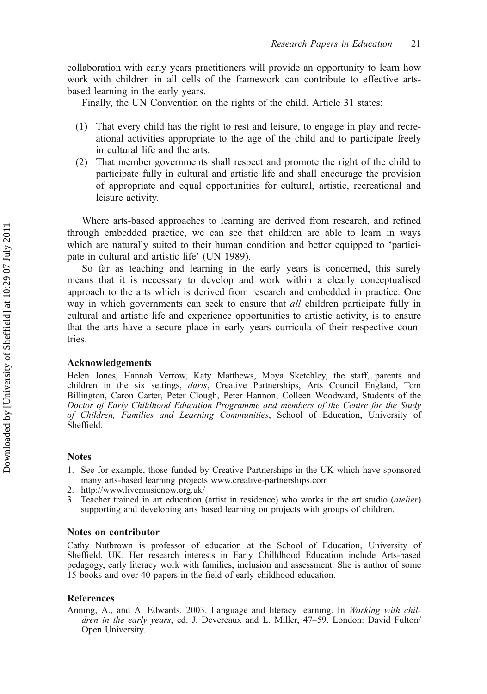collaboration with early years practitioners will provide an opportunity to learn how work with children in all cells of the framework can contribute to effective artsbased learning in the early years.

Finally, the UN Convention on the rights of the child, Article 31 states:

- (1) That every child has the right to rest and leisure, to engage in play and recreational activities appropriate to the age of the child and to participate freely in cultural life and the arts.
- (2) That member governments shall respect and promote the right of the child to participate fully in cultural and artistic life and shall encourage the provision of appropriate and equal opportunities for cultural, artistic, recreational and leisure activity.

Where arts-based approaches to learning are derived from research, and refined through embedded practice, we can see that children are able to learn in ways which are naturally suited to their human condition and better equipped to 'participate in cultural and artistic life' (UN 1989).

So far as teaching and learning in the early years is concerned, this surely means that it is necessary to develop and work within a clearly conceptualised approach to the arts which is derived from research and embedded in practice. One way in which governments can seek to ensure that *all* children participate fully in cultural and artistic life and experience opportunities to artistic activity, is to ensure that the arts have a secure place in early years curricula of their respective countries.

## Acknowledgements

Helen Jones, Hannah Verrow, Katy Matthews, Moya Sketchley, the staff, parents and children in the six settings, darts, Creative Partnerships, Arts Council England, Tom Billington, Caron Carter, Peter Clough, Peter Hannon, Colleen Woodward, Students of the Doctor of Early Childhood Education Programme and members of the Centre for the Study of Children, Families and Learning Communities, School of Education, University of Sheffield.

## **Notes**

- 1. See for example, those funded by Creative Partnerships in the UK which have sponsored many arts-based learning projects www.creative-partnerships.com
- 2. http://www.livemusicnow.org.uk/
- 3. Teacher trained in art education (artist in residence) who works in the art studio (atelier) supporting and developing arts based learning on projects with groups of children.

## Notes on contributor

Cathy Nutbrown is professor of education at the School of Education, University of Sheffield, UK. Her research interests in Early Chilldhood Education include Arts-based pedagogy, early literacy work with families, inclusion and assessment. She is author of some 15 books and over 40 papers in the field of early childhood education.

## **References**

Anning, A., and A. Edwards. 2003. Language and literacy learning. In Working with children in the early years, ed. J. Devereaux and L. Miller, 47–59. London: David Fulton/ Open University.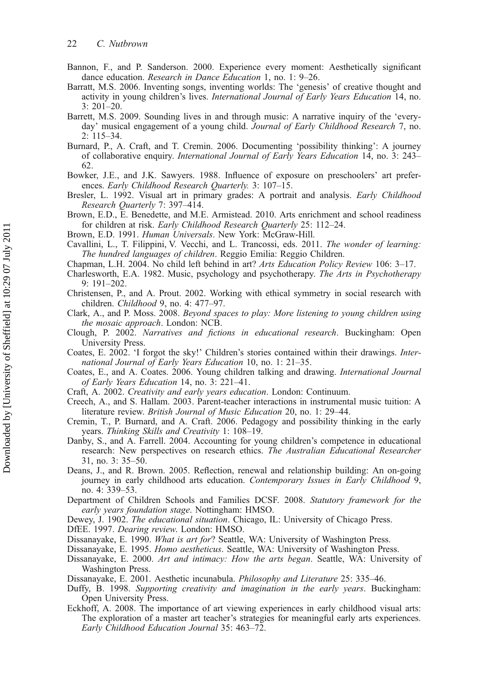- Bannon, F., and P. Sanderson. 2000. Experience every moment: Aesthetically significant dance education. Research in Dance Education 1, no. 1: 9–26.
- Barratt, M.S. 2006. Inventing songs, inventing worlds: The 'genesis' of creative thought and activity in young children's lives. International Journal of Early Years Education 14, no. 3: 201–20.
- Barrett, M.S. 2009. Sounding lives in and through music: A narrative inquiry of the 'everyday' musical engagement of a young child. Journal of Early Childhood Research 7, no. 2: 115–34.
- Burnard, P., A. Craft, and T. Cremin. 2006. Documenting 'possibility thinking': A journey of collaborative enquiry. International Journal of Early Years Education 14, no. 3: 243– 62.
- Bowker, J.E., and J.K. Sawyers. 1988. Influence of exposure on preschoolers' art preferences. Early Childhood Research Quarterly. 3: 107–15.
- Bresler, L. 1992. Visual art in primary grades: A portrait and analysis. Early Childhood Research Quarterly 7: 397–414.
- Brown, E.D., E. Benedette, and M.E. Armistead. 2010. Arts enrichment and school readiness for children at risk. Early Childhood Research Quarterly 25: 112–24.
- Brown, E.D. 1991. Human Universals. New York: McGraw-Hill.
- Cavallini, L., T. Filippini, V. Vecchi, and L. Trancossi, eds. 2011. The wonder of learning: The hundred languages of children. Reggio Emilia: Reggio Children.
- Chapman, L.H. 2004. No child left behind in art? Arts Education Policy Review 106: 3–17.
- Charlesworth, E.A. 1982. Music, psychology and psychotherapy. The Arts in Psychotherapy 9: 191–202.
- Christensen, P., and A. Prout. 2002. Working with ethical symmetry in social research with children. Childhood 9, no. 4: 477–97.
- Clark, A., and P. Moss. 2008. Beyond spaces to play: More listening to young children using the mosaic approach. London: NCB.
- Clough, P. 2002. Narratives and fictions in educational research. Buckingham: Open University Press.
- Coates, E. 2002. 'I forgot the sky!' Children's stories contained within their drawings. International Journal of Early Years Education 10, no. 1: 21–35.
- Coates, E., and A. Coates. 2006. Young children talking and drawing. International Journal of Early Years Education 14, no. 3: 221–41.
- Craft, A. 2002. Creativity and early years education. London: Continuum.
- Creech, A., and S. Hallam. 2003. Parent-teacher interactions in instrumental music tuition: A literature review. British Journal of Music Education 20, no. 1: 29–44.
- Cremin, T., P. Burnard, and A. Craft. 2006. Pedagogy and possibility thinking in the early years. Thinking Skills and Creativity 1: 108–19.
- Danby, S., and A. Farrell. 2004. Accounting for young children's competence in educational research: New perspectives on research ethics. The Australian Educational Researcher 31, no. 3: 35–50.
- Deans, J., and R. Brown. 2005. Reflection, renewal and relationship building: An on-going journey in early childhood arts education. Contemporary Issues in Early Childhood 9, no. 4: 339–53.
- Department of Children Schools and Families DCSF. 2008. Statutory framework for the early years foundation stage. Nottingham: HMSO.

Dewey, J. 1902. The educational situation. Chicago, IL: University of Chicago Press.

- DfEE. 1997. Dearing review. London: HMSO.
- Dissanayake, E. 1990. What is art for? Seattle, WA: University of Washington Press.
- Dissanayake, E. 1995. Homo aestheticus. Seattle, WA: University of Washington Press.
- Dissanayake, E. 2000. Art and intimacy: How the arts began. Seattle, WA: University of Washington Press.
- Dissanayake, E. 2001. Aesthetic incunabula. Philosophy and Literature 25: 335–46.
- Duffy, B. 1998. Supporting creativity and imagination in the early years. Buckingham: Open University Press.
- Eckhoff, A. 2008. The importance of art viewing experiences in early childhood visual arts: The exploration of a master art teacher's strategies for meaningful early arts experiences. Early Childhood Education Journal 35: 463–72.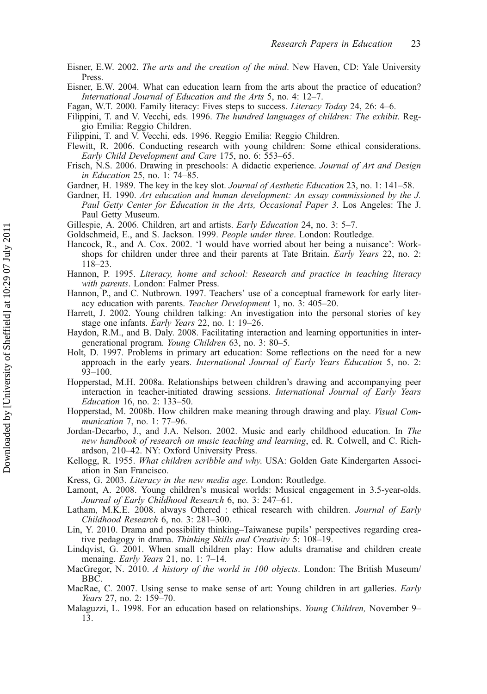- Eisner, E.W. 2002. The arts and the creation of the mind. New Haven, CD: Yale University Press.
- Eisner, E.W. 2004. What can education learn from the arts about the practice of education? International Journal of Education and the Arts 5, no. 4: 12–7.
- Fagan, W.T. 2000. Family literacy: Fives steps to success. Literacy Today 24, 26: 4–6.
- Filippini, T. and V. Vecchi, eds. 1996. The hundred languages of children: The exhibit. Reggio Emilia: Reggio Children.
- Filippini, T. and V. Vecchi, eds. 1996. Reggio Emilia: Reggio Children.
- Flewitt, R. 2006. Conducting research with young children: Some ethical considerations. Early Child Development and Care 175, no. 6: 553–65.
- Frisch, N.S. 2006. Drawing in preschools: A didactic experience. Journal of Art and Design in Education 25, no. 1: 74–85.
- Gardner, H. 1989. The key in the key slot. Journal of Aesthetic Education 23, no. 1: 141–58.
- Gardner, H. 1990. Art education and human development: An essay commissioned by the J. Paul Getty Center for Education in the Arts, Occasional Paper 3. Los Angeles: The J. Paul Getty Museum.
- Gillespie, A. 2006. Children, art and artists. *Early Education* 24, no. 3: 5–7.
- Goldschmeid, E., and S. Jackson. 1999. People under three. London: Routledge.
- Hancock, R., and A. Cox. 2002. 'I would have worried about her being a nuisance': Workshops for children under three and their parents at Tate Britain. *Early Years* 22, no. 2: 118–23.
- Hannon, P. 1995. Literacy, home and school: Research and practice in teaching literacy with parents. London: Falmer Press.
- Hannon, P., and C. Nutbrown. 1997. Teachers' use of a conceptual framework for early literacy education with parents. Teacher Development 1, no. 3: 405–20.
- Harrett, J. 2002. Young children talking: An investigation into the personal stories of key stage one infants. Early Years 22, no. 1: 19–26.
- Haydon, R.M., and B. Daly. 2008. Facilitating interaction and learning opportunities in intergenerational program. Young Children 63, no. 3: 80–5.
- Holt, D. 1997. Problems in primary art education: Some reflections on the need for a new approach in the early years. International Journal of Early Years Education 5, no. 2: 93–100.
- Hopperstad, M.H. 2008a. Relationships between children's drawing and accompanying peer interaction in teacher-initiated drawing sessions. International Journal of Early Years Education 16, no. 2: 133–50.
- Hopperstad, M. 2008b. How children make meaning through drawing and play. Visual Communication 7, no. 1: 77–96.
- Jordan-Decarbo, J., and J.A. Nelson. 2002. Music and early childhood education. In The new handbook of research on music teaching and learning, ed. R. Colwell, and C. Richardson, 210–42. NY: Oxford University Press.
- Kellogg, R. 1955. What children scribble and why. USA: Golden Gate Kindergarten Association in San Francisco.
- Kress, G. 2003. Literacy in the new media age. London: Routledge.
- Lamont, A. 2008. Young children's musical worlds: Musical engagement in 3.5-year-olds. Journal of Early Childhood Research 6, no. 3: 247–61.
- Latham, M.K.E. 2008. always Othered : ethical research with children. Journal of Early Childhood Research 6, no. 3: 281–300.
- Lin, Y. 2010. Drama and possibility thinking–Taiwanese pupils' perspectives regarding creative pedagogy in drama. Thinking Skills and Creativity 5: 108–19.
- Lindqvist, G. 2001. When small children play: How adults dramatise and children create menaing. *Early Years* 21, no. 1: 7-14.
- MacGregor, N. 2010. A history of the world in 100 objects. London: The British Museum/ BBC.
- MacRae, C. 2007. Using sense to make sense of art: Young children in art galleries. *Early* Years 27, no. 2: 159–70.
- Malaguzzi, L. 1998. For an education based on relationships. *Young Children*, November 9– 13.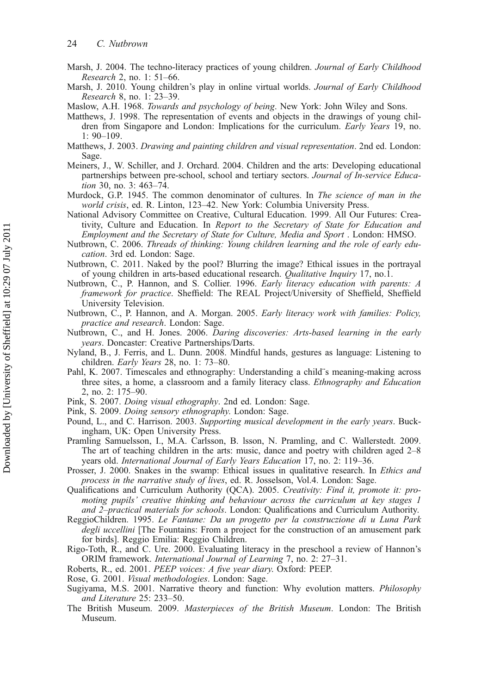- Marsh, J. 2004. The techno-literacy practices of young children. Journal of Early Childhood Research 2, no. 1: 51–66.
- Marsh, J. 2010. Young children's play in online virtual worlds. Journal of Early Childhood Research 8, no. 1: 23–39.
- Maslow, A.H. 1968. Towards and psychology of being. New York: John Wiley and Sons.
- Matthews, J. 1998. The representation of events and objects in the drawings of young children from Singapore and London: Implications for the curriculum. Early Years 19, no. 1: 90–109.
- Matthews, J. 2003. Drawing and painting children and visual representation. 2nd ed. London: Sage.
- Meiners, J., W. Schiller, and J. Orchard. 2004. Children and the arts: Developing educational partnerships between pre-school, school and tertiary sectors. Journal of In-service Education 30, no. 3: 463–74.
- Murdock, G.P. 1945. The common denominator of cultures. In The science of man in the world crisis, ed. R. Linton, 123–42. New York: Columbia University Press.
- National Advisory Committee on Creative, Cultural Education. 1999. All Our Futures: Creativity, Culture and Education. In Report to the Secretary of State for Education and Employment and the Secretary of State for Culture, Media and Sport . London: HMSO.
- Nutbrown, C. 2006. Threads of thinking: Young children learning and the role of early education. 3rd ed. London: Sage.
- Nutbrown, C. 2011. Naked by the pool? Blurring the image? Ethical issues in the portrayal of young children in arts-based educational research. Qualitative Inquiry 17, no.1.
- Nutbrown, C., P. Hannon, and S. Collier. 1996. Early literacy education with parents: A framework for practice. Sheffield: The REAL Project/University of Sheffield, Sheffield University Television.
- Nutbrown, C., P. Hannon, and A. Morgan. 2005. Early literacy work with families: Policy, practice and research. London: Sage.
- Nutbrown, C., and H. Jones. 2006. Daring discoveries: Arts-based learning in the early years. Doncaster: Creative Partnerships/Darts.
- Nyland, B., J. Ferris, and L. Dunn. 2008. Mindful hands, gestures as language: Listening to children. Early Years 28, no. 1: 73–80.
- Pahl, K. 2007. Timescales and ethnography: Understanding a child¨s meaning-making across three sites, a home, a classroom and a family literacy class. Ethnography and Education 2, no. 2: 175–90.
- Pink, S. 2007. Doing visual ethography. 2nd ed. London: Sage.
- Pink, S. 2009. Doing sensory ethnography. London: Sage.
- Pound, L., and C. Harrison. 2003. Supporting musical development in the early years. Buckingham, UK: Open University Press.
- Pramling Samuelsson, I., M.A. Carlsson, B. lsson, N. Pramling, and C. Wallerstedt. 2009. The art of teaching children in the arts: music, dance and poetry with children aged 2–8 years old. International Journal of Early Years Education 17, no. 2: 119–36.
- Prosser, J. 2000. Snakes in the swamp: Ethical issues in qualitative research. In *Ethics and* process in the narrative study of lives, ed. R. Josselson, Vol.4. London: Sage.
- Qualifications and Curriculum Authority (QCA). 2005. Creativity: Find it, promote it: promoting pupils' creative thinking and behaviour across the curriculum at key stages 1 and 2–practical materials for schools. London: Qualifications and Curriculum Authority.
- ReggioChildren. 1995. Le Fantane: Da un progetto per la construczione di u Luna Park degli uccellini [The Fountains: From a project for the construction of an amusement park for birds]. Reggio Emilia: Reggio Children.
- Rigo-Toth, R., and C. Ure. 2000. Evaluating literacy in the preschool a review of Hannon's ORIM framework. International Journal of Learning 7, no. 2: 27–31.
- Roberts, R., ed. 2001. PEEP voices: A five year diary. Oxford: PEEP.
- Rose, G. 2001. Visual methodologies. London: Sage.
- Sugiyama, M.S. 2001. Narrative theory and function: Why evolution matters. Philosophy and Literature 25: 233–50.
- The British Museum. 2009. Masterpieces of the British Museum. London: The British Museum.